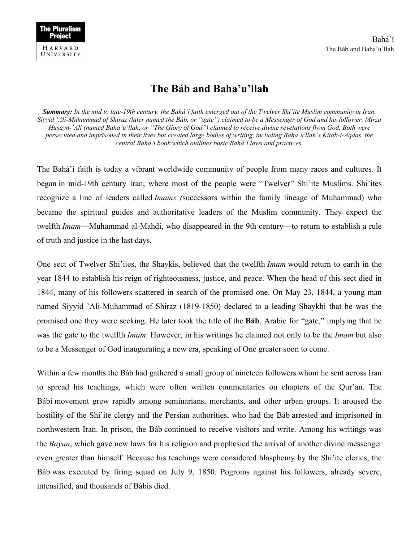

## **The Báb and Baha'u'llah**

*Summary: In the mid to late-19th century, the Bahá'í faith emerged out of the Twelver Shi'ite Muslim community in Iran. Siyyid 'Ali-Muhammad of Shiraz (later named the Báb, or "gate") claimed to be a Messenger of God and his follower, Mirza Husayn-'Ali (named Baha'u'llah, or "The Glory of God") claimed to receive divine revelations from God. Both were persecuted and imprisoned in their lives but created large bodies of writing, including Baha'u'llah's Kitab-i-Aqdas, the central Bahá'i book which outlines basic Bahá'í laws and practices.*

The Bahá'í faith is today a vibrant worldwide community of people from many races and cultures. It began in mid-19th century Iran, where most of the people were "Twelver" Shi'ite Muslims. Shi'ites recognize a line of leaders called *Imams (*successors within the family lineage of Muhammad) who became the spiritual guides and authoritative leaders of the Muslim community. They expect the twelfth *Imam*—Muhammad al-Mahdi, who disappeared in the 9th century—to return to establish a rule of truth and justice in the last days.

One sect of Twelver Shi'ites, the Shaykis, believed that the twelfth *Imam* would return to earth in the year 1844 to establish his reign of righteousness, justice, and peace. When the head of this sect died in 1844, many of his followers scattered in search of the promised one. On May 23, 1844, a young man named Siyyid 'Ali-Muhammad of Shiraz (1819-1850) declared to a leading Shaykhi that he was the promised one they were seeking. He later took the title of the **Báb**, Arabic for "gate," implying that he was the gate to the twelfth *Imam*. However, in his writings he claimed not only to be the *Imam* but also to be a Messenger of God inaugurating a new era, speaking of One greater soon to come.

Within a few months the Báb had gathered a small group of nineteen followers whom he sent across Iran to spread his teachings, which were often written commentaries on chapters of the Qur'an. The Bábí movement grew rapidly among seminarians, merchants, and other urban groups. It aroused the hostility of the Shi'ite clergy and the Persian authorities, who had the Báb arrested and imprisoned in northwestern Iran. In prison, the Báb continued to receive visitors and write. Among his writings was the *Bayan*, which gave new laws for his religion and prophesied the arrival of another divine messenger even greater than himself. Because his teachings were considered blasphemy by the Shi'ite clerics, the Báb was executed by firing squad on July 9, 1850. Pogroms against his followers, already severe, intensified, and thousands of Bábís died.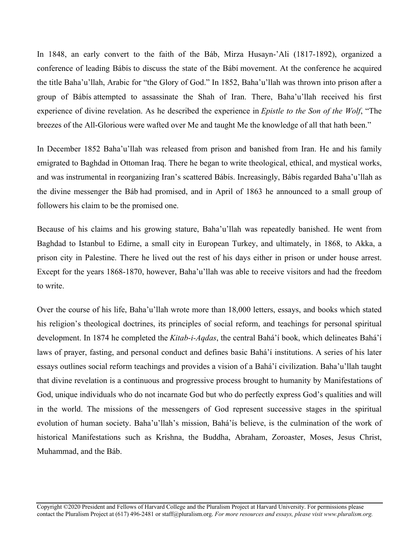In 1848, an early convert to the faith of the Báb, Mirza Husayn-'Ali (1817-1892), organized a conference of leading Bábís to discuss the state of the Bábí movement. At the conference he acquired the title Baha'u'llah, Arabic for "the Glory of God." In 1852, Baha'u'llah was thrown into prison after a group of Bábís attempted to assassinate the Shah of Iran. There, Baha'u'llah received his first experience of divine revelation. As he described the experience in *Epistle to the Son of the Wolf*, "The breezes of the All-Glorious were wafted over Me and taught Me the knowledge of all that hath been."

In December 1852 Baha'u'llah was released from prison and banished from Iran. He and his family emigrated to Baghdad in Ottoman Iraq. There he began to write theological, ethical, and mystical works, and was instrumental in reorganizing Iran's scattered Bábís. Increasingly, Bábís regarded Baha'u'llah as the divine messenger the Báb had promised, and in April of 1863 he announced to a small group of followers his claim to be the promised one.

Because of his claims and his growing stature, Baha'u'llah was repeatedly banished. He went from Baghdad to Istanbul to Edirne, a small city in European Turkey, and ultimately, in 1868, to Akka, a prison city in Palestine. There he lived out the rest of his days either in prison or under house arrest. Except for the years 1868-1870, however, Baha'u'llah was able to receive visitors and had the freedom to write.

Over the course of his life, Baha'u'llah wrote more than 18,000 letters, essays, and books which stated his religion's theological doctrines, its principles of social reform, and teachings for personal spiritual development. In 1874 he completed the *Kitab-i-Aqdas*, the central Bahá'í book, which delineates Bahá'í laws of prayer, fasting, and personal conduct and defines basic Bahá'í institutions. A series of his later essays outlines social reform teachings and provides a vision of a Bahá'í civilization. Baha'u'llah taught that divine revelation is a continuous and progressive process brought to humanity by Manifestations of God, unique individuals who do not incarnate God but who do perfectly express God's qualities and will in the world. The missions of the messengers of God represent successive stages in the spiritual evolution of human society. Baha'u'llah's mission, Bahá'ís believe, is the culmination of the work of historical Manifestations such as Krishna, the Buddha, Abraham, Zoroaster, Moses, Jesus Christ, Muhammad, and the Báb.